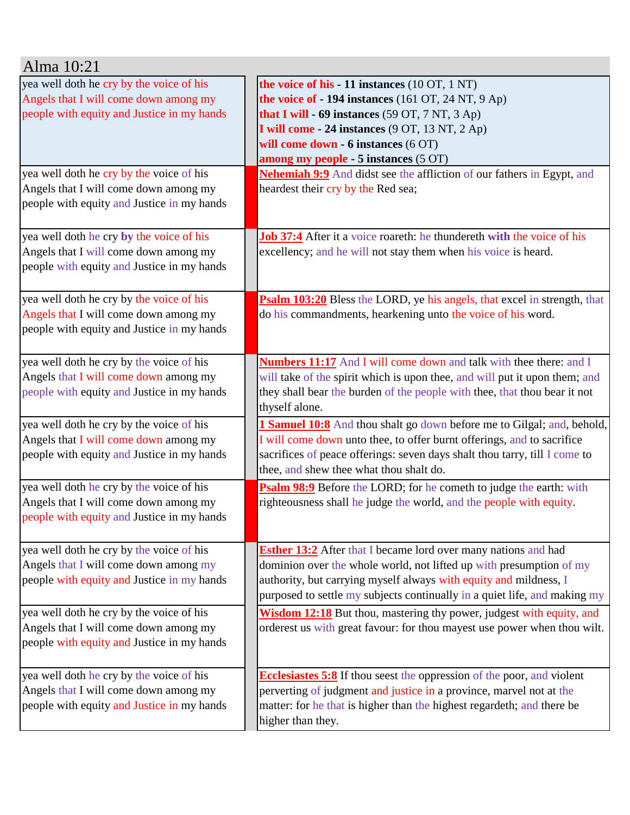| Alma 10:21                                                                                                                                                                                                           |                                                                                                                                                                                                                                                                                                                                                                                                                |
|----------------------------------------------------------------------------------------------------------------------------------------------------------------------------------------------------------------------|----------------------------------------------------------------------------------------------------------------------------------------------------------------------------------------------------------------------------------------------------------------------------------------------------------------------------------------------------------------------------------------------------------------|
| yea well doth he cry by the voice of his<br>Angels that I will come down among my<br>people with equity and Justice in my hands<br>yea well doth he cry by the voice of his<br>Angels that I will come down among my | the voice of his - 11 instances (10 OT, 1 NT)<br>the voice of $-194$ instances (161 OT, 24 NT, 9 Ap)<br>that I will - 69 instances (59 OT, 7 NT, 3 Ap)<br>I will come - 24 instances (9 OT, 13 NT, 2 Ap)<br>will come down - 6 instances (6 OT)<br>among my people - 5 instances (5 OT)<br><b>Nehemiah 9:9</b> And didst see the affliction of our fathers in Egypt, and<br>heardest their cry by the Red sea; |
| people with equity and Justice in my hands<br>yea well doth he cry by the voice of his<br>Angels that I will come down among my<br>people with equity and Justice in my hands                                        | <b>Job 37:4</b> After it a voice roareth: he thundereth with the voice of his<br>excellency; and he will not stay them when his voice is heard.                                                                                                                                                                                                                                                                |
| yea well doth he cry by the voice of his<br>Angels that I will come down among my<br>people with equity and Justice in my hands                                                                                      | Psalm 103:20 Bless the LORD, ye his angels, that excel in strength, that<br>do his commandments, hearkening unto the voice of his word.                                                                                                                                                                                                                                                                        |
| yea well doth he cry by the voice of his<br>Angels that I will come down among my<br>people with equity and Justice in my hands                                                                                      | <b>Numbers 11:17</b> And I will come down and talk with thee there: and I<br>will take of the spirit which is upon thee, and will put it upon them; and<br>they shall bear the burden of the people with thee, that thou bear it not<br>thyself alone.                                                                                                                                                         |
| yea well doth he cry by the voice of his<br>Angels that I will come down among my<br>people with equity and Justice in my hands                                                                                      | <b>1 Samuel 10:8</b> And thou shalt go down before me to Gilgal; and, behold,<br>I will come down unto thee, to offer burnt offerings, and to sacrifice<br>sacrifices of peace offerings: seven days shalt thou tarry, till I come to<br>thee, and shew thee what thou shalt do.                                                                                                                               |
| yea well doth he cry by the voice of his<br>Angels that I will come down among my<br>people with equity and Justice in my hands                                                                                      | Psalm 98:9 Before the LORD; for he cometh to judge the earth: with<br>righteousness shall he judge the world, and the people with equity.                                                                                                                                                                                                                                                                      |
| yea well doth he cry by the voice of his<br>Angels that I will come down among my<br>people with equity and Justice in my hands                                                                                      | <b>Esther 13:2</b> After that I became lord over many nations and had<br>dominion over the whole world, not lifted up with presumption of my<br>authority, but carrying myself always with equity and mildness, I<br>purposed to settle my subjects continually in a quiet life, and making my                                                                                                                 |
| yea well doth he cry by the voice of his<br>Angels that I will come down among my<br>people with equity and Justice in my hands                                                                                      | Wisdom 12:18 But thou, mastering thy power, judgest with equity, and<br>orderest us with great favour: for thou mayest use power when thou wilt.                                                                                                                                                                                                                                                               |
| yea well doth he cry by the voice of his<br>Angels that I will come down among my<br>people with equity and Justice in my hands                                                                                      | <b>Ecclesiastes 5:8</b> If thou seest the oppression of the poor, and violent<br>perverting of judgment and justice in a province, marvel not at the<br>matter: for he that is higher than the highest regardeth; and there be<br>higher than they.                                                                                                                                                            |